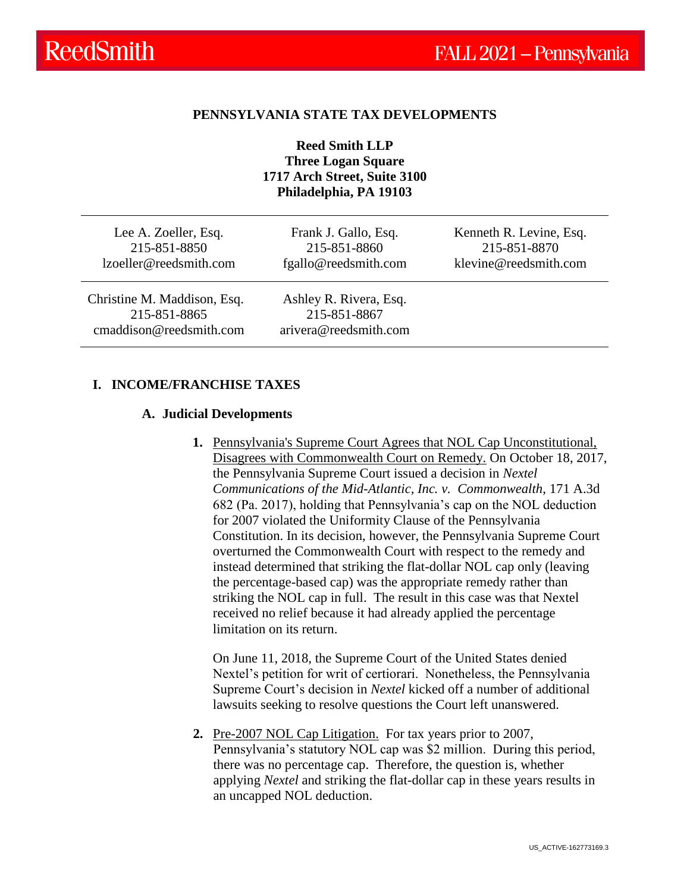#### **PENNSYLVANIA STATE TAX DEVELOPMENTS**

**Reed Smith LLP Three Logan Square 1717 Arch Street, Suite 3100 Philadelphia, PA 19103**

| Lee A. Zoeller, Esq.                                                   | Frank J. Gallo, Esq.                                            | Kenneth R. Levine, Esq. |
|------------------------------------------------------------------------|-----------------------------------------------------------------|-------------------------|
| 215-851-8850                                                           | 215-851-8860                                                    | 215-851-8870            |
| lzoeller@reedsmith.com                                                 | fgallo@reedsmith.com                                            | klevine@reedsmith.com   |
| Christine M. Maddison, Esq.<br>215-851-8865<br>cmaddison@reedsmith.com | Ashley R. Rivera, Esq.<br>215-851-8867<br>arivera@reedsmith.com |                         |

#### **I. INCOME/FRANCHISE TAXES**

#### **A. Judicial Developments**

**1.** Pennsylvania's Supreme Court Agrees that NOL Cap Unconstitutional, Disagrees with Commonwealth Court on Remedy. On October 18, 2017, the Pennsylvania Supreme Court issued a decision in *Nextel Communications of the Mid-Atlantic, Inc. v. Commonwealth*, 171 A.3d 682 (Pa. 2017), holding that Pennsylvania's cap on the NOL deduction for 2007 violated the Uniformity Clause of the Pennsylvania Constitution. In its decision, however, the Pennsylvania Supreme Court overturned the Commonwealth Court with respect to the remedy and instead determined that striking the flat-dollar NOL cap only (leaving the percentage-based cap) was the appropriate remedy rather than striking the NOL cap in full. The result in this case was that Nextel received no relief because it had already applied the percentage limitation on its return.

On June 11, 2018, the Supreme Court of the United States denied Nextel's petition for writ of certiorari. Nonetheless, the Pennsylvania Supreme Court's decision in *Nextel* kicked off a number of additional lawsuits seeking to resolve questions the Court left unanswered.

**2.** Pre-2007 NOL Cap Litigation. For tax years prior to 2007, Pennsylvania's statutory NOL cap was \$2 million. During this period, there was no percentage cap. Therefore, the question is, whether applying *Nextel* and striking the flat-dollar cap in these years results in an uncapped NOL deduction.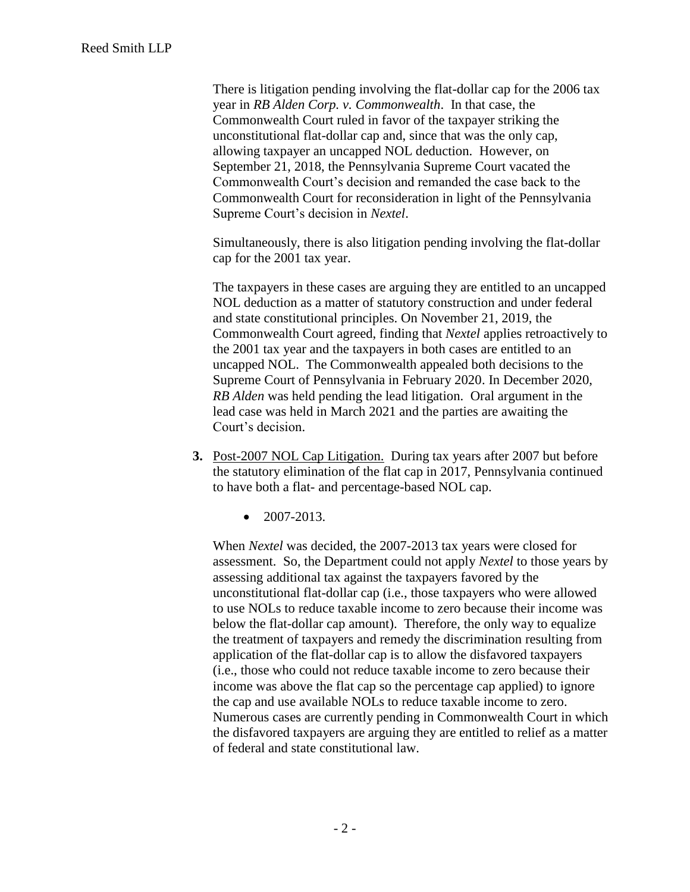There is litigation pending involving the flat-dollar cap for the 2006 tax year in *RB Alden Corp. v. Commonwealth*. In that case, the Commonwealth Court ruled in favor of the taxpayer striking the unconstitutional flat-dollar cap and, since that was the only cap, allowing taxpayer an uncapped NOL deduction. However, on September 21, 2018, the Pennsylvania Supreme Court vacated the Commonwealth Court's decision and remanded the case back to the Commonwealth Court for reconsideration in light of the Pennsylvania Supreme Court's decision in *Nextel*.

Simultaneously, there is also litigation pending involving the flat-dollar cap for the 2001 tax year.

The taxpayers in these cases are arguing they are entitled to an uncapped NOL deduction as a matter of statutory construction and under federal and state constitutional principles. On November 21, 2019, the Commonwealth Court agreed, finding that *Nextel* applies retroactively to the 2001 tax year and the taxpayers in both cases are entitled to an uncapped NOL. The Commonwealth appealed both decisions to the Supreme Court of Pennsylvania in February 2020. In December 2020, *RB Alden* was held pending the lead litigation. Oral argument in the lead case was held in March 2021 and the parties are awaiting the Court's decision.

- **3.** Post-2007 NOL Cap Litigation. During tax years after 2007 but before the statutory elimination of the flat cap in 2017, Pennsylvania continued to have both a flat- and percentage-based NOL cap.
	- $\bullet$  2007-2013.

When *Nextel* was decided, the 2007-2013 tax years were closed for assessment. So, the Department could not apply *Nextel* to those years by assessing additional tax against the taxpayers favored by the unconstitutional flat-dollar cap (i.e., those taxpayers who were allowed to use NOLs to reduce taxable income to zero because their income was below the flat-dollar cap amount). Therefore, the only way to equalize the treatment of taxpayers and remedy the discrimination resulting from application of the flat-dollar cap is to allow the disfavored taxpayers (i.e., those who could not reduce taxable income to zero because their income was above the flat cap so the percentage cap applied) to ignore the cap and use available NOLs to reduce taxable income to zero. Numerous cases are currently pending in Commonwealth Court in which the disfavored taxpayers are arguing they are entitled to relief as a matter of federal and state constitutional law.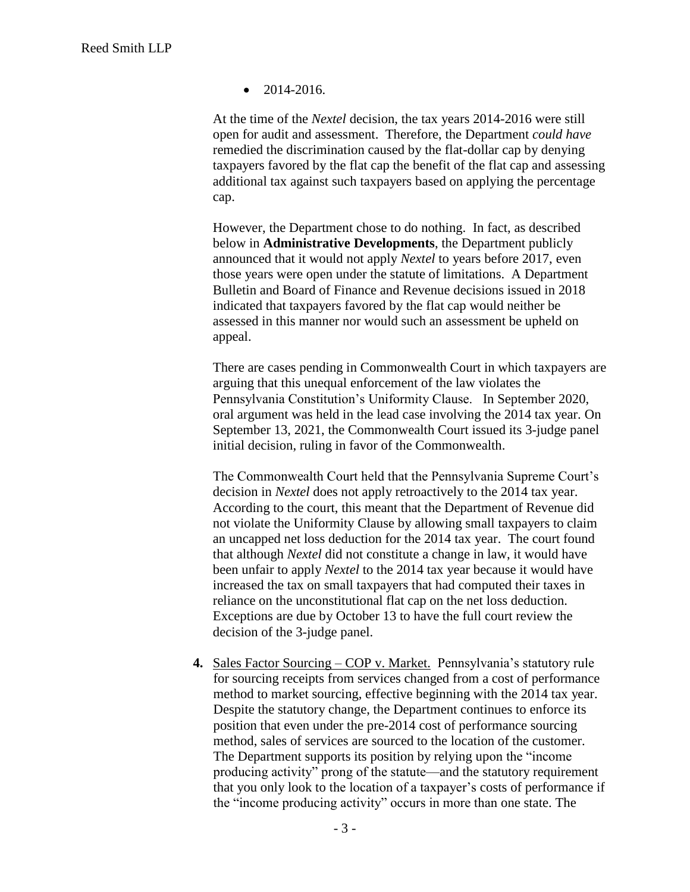$\bullet$  2014-2016.

At the time of the *Nextel* decision, the tax years 2014-2016 were still open for audit and assessment. Therefore, the Department *could have* remedied the discrimination caused by the flat-dollar cap by denying taxpayers favored by the flat cap the benefit of the flat cap and assessing additional tax against such taxpayers based on applying the percentage cap.

However, the Department chose to do nothing. In fact, as described below in **Administrative Developments**, the Department publicly announced that it would not apply *Nextel* to years before 2017, even those years were open under the statute of limitations. A Department Bulletin and Board of Finance and Revenue decisions issued in 2018 indicated that taxpayers favored by the flat cap would neither be assessed in this manner nor would such an assessment be upheld on appeal.

There are cases pending in Commonwealth Court in which taxpayers are arguing that this unequal enforcement of the law violates the Pennsylvania Constitution's Uniformity Clause. In September 2020, oral argument was held in the lead case involving the 2014 tax year. On September 13, 2021, the Commonwealth Court issued its 3-judge panel initial decision, ruling in favor of the Commonwealth.

The Commonwealth Court held that the Pennsylvania Supreme Court's decision in *Nextel* does not apply retroactively to the 2014 tax year. According to the court, this meant that the Department of Revenue did not violate the Uniformity Clause by allowing small taxpayers to claim an uncapped net loss deduction for the 2014 tax year. The court found that although *Nextel* did not constitute a change in law, it would have been unfair to apply *Nextel* to the 2014 tax year because it would have increased the tax on small taxpayers that had computed their taxes in reliance on the unconstitutional flat cap on the net loss deduction. Exceptions are due by October 13 to have the full court review the decision of the 3-judge panel.

**4.** Sales Factor Sourcing – COP v. Market. Pennsylvania's statutory rule for sourcing receipts from services changed from a cost of performance method to market sourcing, effective beginning with the 2014 tax year. Despite the statutory change, the Department continues to enforce its position that even under the pre-2014 cost of performance sourcing method, sales of services are sourced to the location of the customer. The Department supports its position by relying upon the "income producing activity" prong of the statute—and the statutory requirement that you only look to the location of a taxpayer's costs of performance if the "income producing activity" occurs in more than one state. The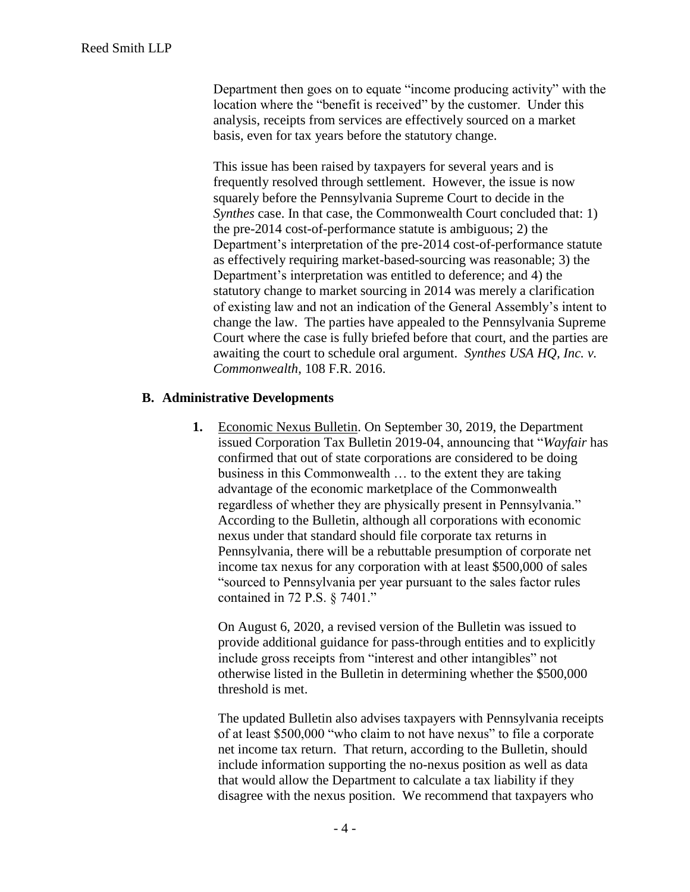Department then goes on to equate "income producing activity" with the location where the "benefit is received" by the customer. Under this analysis, receipts from services are effectively sourced on a market basis, even for tax years before the statutory change.

This issue has been raised by taxpayers for several years and is frequently resolved through settlement. However, the issue is now squarely before the Pennsylvania Supreme Court to decide in the *Synthes* case. In that case, the Commonwealth Court concluded that: 1) the pre-2014 cost-of-performance statute is ambiguous; 2) the Department's interpretation of the pre-2014 cost-of-performance statute as effectively requiring market-based-sourcing was reasonable; 3) the Department's interpretation was entitled to deference; and 4) the statutory change to market sourcing in 2014 was merely a clarification of existing law and not an indication of the General Assembly's intent to change the law. The parties have appealed to the Pennsylvania Supreme Court where the case is fully briefed before that court, and the parties are awaiting the court to schedule oral argument. *Synthes USA HQ, Inc. v. Commonwealth*, 108 F.R. 2016.

## **B. Administrative Developments**

**1.** Economic Nexus Bulletin. On September 30, 2019, the Department issued Corporation Tax Bulletin 2019-04, announcing that "*Wayfair* has confirmed that out of state corporations are considered to be doing business in this Commonwealth … to the extent they are taking advantage of the economic marketplace of the Commonwealth regardless of whether they are physically present in Pennsylvania." According to the Bulletin, although all corporations with economic nexus under that standard should file corporate tax returns in Pennsylvania, there will be a rebuttable presumption of corporate net income tax nexus for any corporation with at least \$500,000 of sales "sourced to Pennsylvania per year pursuant to the sales factor rules contained in 72 P.S. § 7401."

On August 6, 2020, a revised version of the Bulletin was issued to provide additional guidance for pass-through entities and to explicitly include gross receipts from "interest and other intangibles" not otherwise listed in the Bulletin in determining whether the \$500,000 threshold is met.

The updated Bulletin also advises taxpayers with Pennsylvania receipts of at least \$500,000 "who claim to not have nexus" to file a corporate net income tax return. That return, according to the Bulletin, should include information supporting the no-nexus position as well as data that would allow the Department to calculate a tax liability if they disagree with the nexus position. We recommend that taxpayers who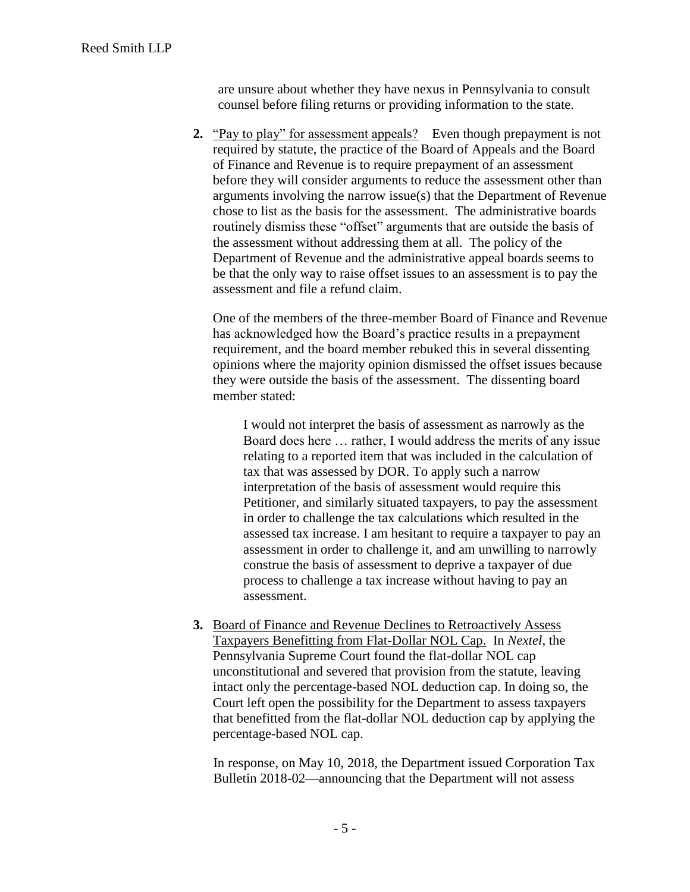are unsure about whether they have nexus in Pennsylvania to consult counsel before filing returns or providing information to the state.

**2.** "Pay to play" for assessment appeals? Even though prepayment is not required by statute, the practice of the Board of Appeals and the Board of Finance and Revenue is to require prepayment of an assessment before they will consider arguments to reduce the assessment other than arguments involving the narrow issue(s) that the Department of Revenue chose to list as the basis for the assessment. The administrative boards routinely dismiss these "offset" arguments that are outside the basis of the assessment without addressing them at all. The policy of the Department of Revenue and the administrative appeal boards seems to be that the only way to raise offset issues to an assessment is to pay the assessment and file a refund claim.

One of the members of the three-member Board of Finance and Revenue has acknowledged how the Board's practice results in a prepayment requirement, and the board member rebuked this in several dissenting opinions where the majority opinion dismissed the offset issues because they were outside the basis of the assessment. The dissenting board member stated:

I would not interpret the basis of assessment as narrowly as the Board does here … rather, I would address the merits of any issue relating to a reported item that was included in the calculation of tax that was assessed by DOR. To apply such a narrow interpretation of the basis of assessment would require this Petitioner, and similarly situated taxpayers, to pay the assessment in order to challenge the tax calculations which resulted in the assessed tax increase. I am hesitant to require a taxpayer to pay an assessment in order to challenge it, and am unwilling to narrowly construe the basis of assessment to deprive a taxpayer of due process to challenge a tax increase without having to pay an assessment.

**3.** Board of Finance and Revenue Declines to Retroactively Assess Taxpayers Benefitting from Flat-Dollar NOL Cap. In *Nextel*, the Pennsylvania Supreme Court found the flat-dollar NOL cap unconstitutional and severed that provision from the statute, leaving intact only the percentage-based NOL deduction cap. In doing so, the Court left open the possibility for the Department to assess taxpayers that benefitted from the flat-dollar NOL deduction cap by applying the percentage-based NOL cap.

In response, on May 10, 2018, the Department issued Corporation Tax Bulletin 2018-02—announcing that the Department will not assess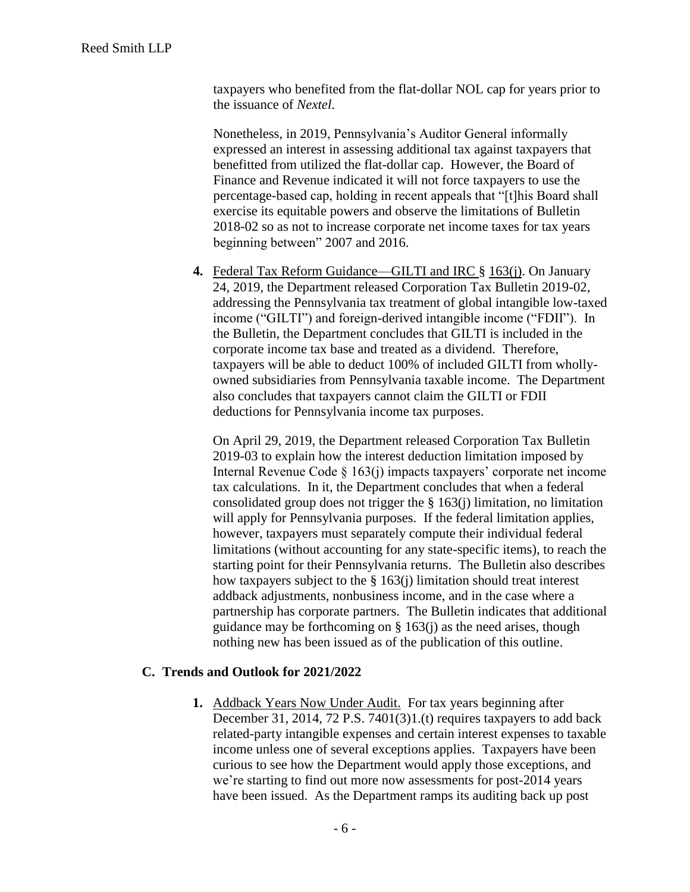taxpayers who benefited from the flat-dollar NOL cap for years prior to the issuance of *Nextel*.

Nonetheless, in 2019, Pennsylvania's Auditor General informally expressed an interest in assessing additional tax against taxpayers that benefitted from utilized the flat-dollar cap. However, the Board of Finance and Revenue indicated it will not force taxpayers to use the percentage-based cap, holding in recent appeals that "[t]his Board shall exercise its equitable powers and observe the limitations of Bulletin 2018-02 so as not to increase corporate net income taxes for tax years beginning between" 2007 and 2016.

**4.** Federal Tax Reform Guidance—GILTI and IRC § 163(j). On January 24, 2019, the Department released Corporation Tax Bulletin 2019-02, addressing the Pennsylvania tax treatment of global intangible low-taxed income ("GILTI") and foreign-derived intangible income ("FDII"). In the Bulletin, the Department concludes that GILTI is included in the corporate income tax base and treated as a dividend. Therefore, taxpayers will be able to deduct 100% of included GILTI from whollyowned subsidiaries from Pennsylvania taxable income. The Department also concludes that taxpayers cannot claim the GILTI or FDII deductions for Pennsylvania income tax purposes.

On April 29, 2019, the Department released Corporation Tax Bulletin 2019-03 to explain how the interest deduction limitation imposed by Internal Revenue Code § 163(j) impacts taxpayers' corporate net income tax calculations. In it, the Department concludes that when a federal consolidated group does not trigger the § 163(j) limitation, no limitation will apply for Pennsylvania purposes. If the federal limitation applies, however, taxpayers must separately compute their individual federal limitations (without accounting for any state-specific items), to reach the starting point for their Pennsylvania returns. The Bulletin also describes how taxpayers subject to the  $\S 163(i)$  limitation should treat interest addback adjustments, nonbusiness income, and in the case where a partnership has corporate partners. The Bulletin indicates that additional guidance may be forthcoming on  $\S$  163(j) as the need arises, though nothing new has been issued as of the publication of this outline.

#### **C. Trends and Outlook for 2021/2022**

**1.** Addback Years Now Under Audit. For tax years beginning after December 31, 2014, 72 P.S. 7401(3)1.(t) requires taxpayers to add back related-party intangible expenses and certain interest expenses to taxable income unless one of several exceptions applies. Taxpayers have been curious to see how the Department would apply those exceptions, and we're starting to find out more now assessments for post-2014 years have been issued. As the Department ramps its auditing back up post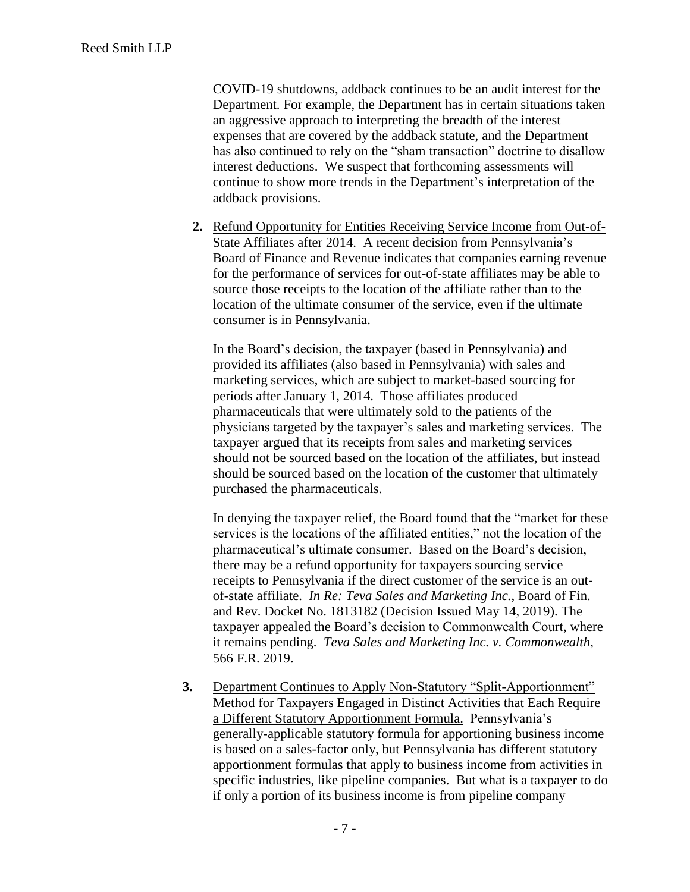COVID-19 shutdowns, addback continues to be an audit interest for the Department. For example, the Department has in certain situations taken an aggressive approach to interpreting the breadth of the interest expenses that are covered by the addback statute, and the Department has also continued to rely on the "sham transaction" doctrine to disallow interest deductions. We suspect that forthcoming assessments will continue to show more trends in the Department's interpretation of the addback provisions.

**2.** Refund Opportunity for Entities Receiving Service Income from Out-of-State Affiliates after 2014. A recent decision from Pennsylvania's Board of Finance and Revenue indicates that companies earning revenue for the performance of services for out-of-state affiliates may be able to source those receipts to the location of the affiliate rather than to the location of the ultimate consumer of the service, even if the ultimate consumer is in Pennsylvania.

In the Board's decision, the taxpayer (based in Pennsylvania) and provided its affiliates (also based in Pennsylvania) with sales and marketing services, which are subject to market-based sourcing for periods after January 1, 2014. Those affiliates produced pharmaceuticals that were ultimately sold to the patients of the physicians targeted by the taxpayer's sales and marketing services. The taxpayer argued that its receipts from sales and marketing services should not be sourced based on the location of the affiliates, but instead should be sourced based on the location of the customer that ultimately purchased the pharmaceuticals.

In denying the taxpayer relief, the Board found that the "market for these services is the locations of the affiliated entities," not the location of the pharmaceutical's ultimate consumer. Based on the Board's decision, there may be a refund opportunity for taxpayers sourcing service receipts to Pennsylvania if the direct customer of the service is an outof-state affiliate. *In Re: Teva Sales and Marketing Inc.*, Board of Fin. and Rev. Docket No. 1813182 (Decision Issued May 14, 2019). The taxpayer appealed the Board's decision to Commonwealth Court, where it remains pending. *Teva Sales and Marketing Inc. v. Commonwealth*, 566 F.R. 2019.

**3.** Department Continues to Apply Non-Statutory "Split-Apportionment" Method for Taxpayers Engaged in Distinct Activities that Each Require a Different Statutory Apportionment Formula.Pennsylvania's generally-applicable statutory formula for apportioning business income is based on a sales-factor only, but Pennsylvania has different statutory apportionment formulas that apply to business income from activities in specific industries, like pipeline companies. But what is a taxpayer to do if only a portion of its business income is from pipeline company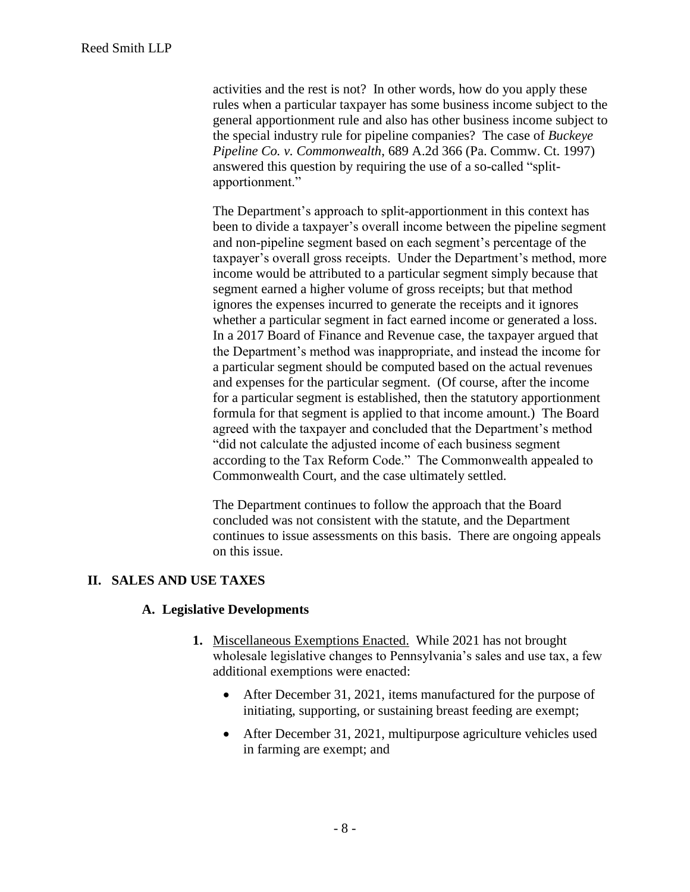activities and the rest is not? In other words, how do you apply these rules when a particular taxpayer has some business income subject to the general apportionment rule and also has other business income subject to the special industry rule for pipeline companies? The case of *Buckeye Pipeline Co. v. Commonwealth*, 689 A.2d 366 (Pa. Commw. Ct. 1997) answered this question by requiring the use of a so-called "splitapportionment."

The Department's approach to split-apportionment in this context has been to divide a taxpayer's overall income between the pipeline segment and non-pipeline segment based on each segment's percentage of the taxpayer's overall gross receipts. Under the Department's method, more income would be attributed to a particular segment simply because that segment earned a higher volume of gross receipts; but that method ignores the expenses incurred to generate the receipts and it ignores whether a particular segment in fact earned income or generated a loss. In a 2017 Board of Finance and Revenue case, the taxpayer argued that the Department's method was inappropriate, and instead the income for a particular segment should be computed based on the actual revenues and expenses for the particular segment. (Of course, after the income for a particular segment is established, then the statutory apportionment formula for that segment is applied to that income amount.) The Board agreed with the taxpayer and concluded that the Department's method "did not calculate the adjusted income of each business segment according to the Tax Reform Code." The Commonwealth appealed to Commonwealth Court, and the case ultimately settled.

The Department continues to follow the approach that the Board concluded was not consistent with the statute, and the Department continues to issue assessments on this basis. There are ongoing appeals on this issue.

## **II. SALES AND USE TAXES**

#### **A. Legislative Developments**

- **1.** Miscellaneous Exemptions Enacted. While 2021 has not brought wholesale legislative changes to Pennsylvania's sales and use tax, a few additional exemptions were enacted:
	- After December 31, 2021, items manufactured for the purpose of initiating, supporting, or sustaining breast feeding are exempt;
	- After December 31, 2021, multipurpose agriculture vehicles used in farming are exempt; and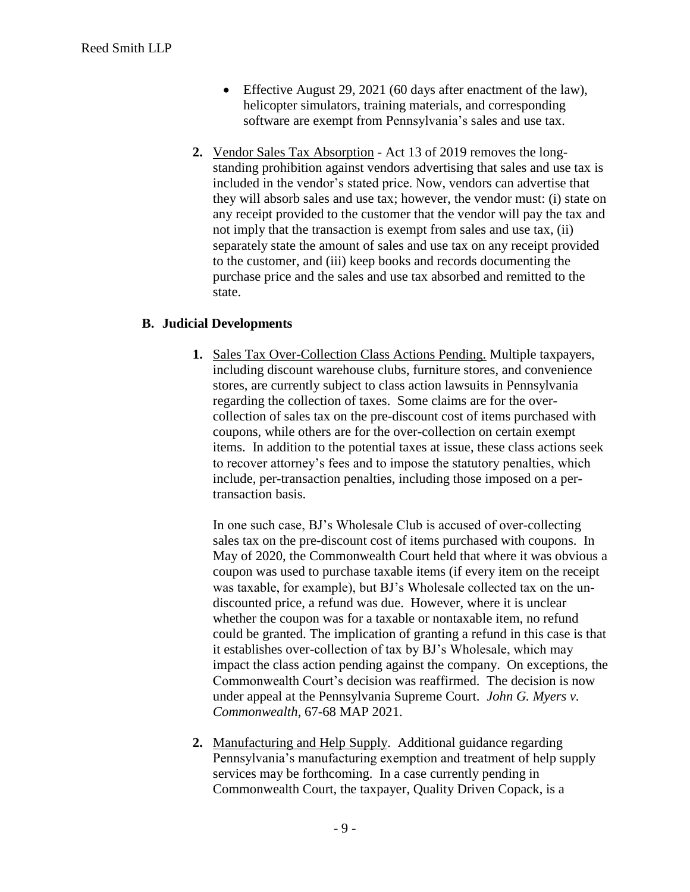- Effective August 29, 2021 (60 days after enactment of the law), helicopter simulators, training materials, and corresponding software are exempt from Pennsylvania's sales and use tax.
- **2.** Vendor Sales Tax Absorption Act 13 of 2019 removes the longstanding prohibition against vendors advertising that sales and use tax is included in the vendor's stated price. Now, vendors can advertise that they will absorb sales and use tax; however, the vendor must: (i) state on any receipt provided to the customer that the vendor will pay the tax and not imply that the transaction is exempt from sales and use tax, (ii) separately state the amount of sales and use tax on any receipt provided to the customer, and (iii) keep books and records documenting the purchase price and the sales and use tax absorbed and remitted to the state.

## **B. Judicial Developments**

**1.** Sales Tax Over-Collection Class Actions Pending. Multiple taxpayers, including discount warehouse clubs, furniture stores, and convenience stores, are currently subject to class action lawsuits in Pennsylvania regarding the collection of taxes. Some claims are for the overcollection of sales tax on the pre-discount cost of items purchased with coupons, while others are for the over-collection on certain exempt items. In addition to the potential taxes at issue, these class actions seek to recover attorney's fees and to impose the statutory penalties, which include, per-transaction penalties, including those imposed on a pertransaction basis.

In one such case, BJ's Wholesale Club is accused of over-collecting sales tax on the pre-discount cost of items purchased with coupons. In May of 2020, the Commonwealth Court held that where it was obvious a coupon was used to purchase taxable items (if every item on the receipt was taxable, for example), but BJ's Wholesale collected tax on the undiscounted price, a refund was due. However, where it is unclear whether the coupon was for a taxable or nontaxable item, no refund could be granted. The implication of granting a refund in this case is that it establishes over-collection of tax by BJ's Wholesale, which may impact the class action pending against the company. On exceptions, the Commonwealth Court's decision was reaffirmed. The decision is now under appeal at the Pennsylvania Supreme Court. *John G. Myers v. Commonwealth*, 67-68 MAP 2021.

**2.** Manufacturing and Help Supply. Additional guidance regarding Pennsylvania's manufacturing exemption and treatment of help supply services may be forthcoming. In a case currently pending in Commonwealth Court, the taxpayer, Quality Driven Copack, is a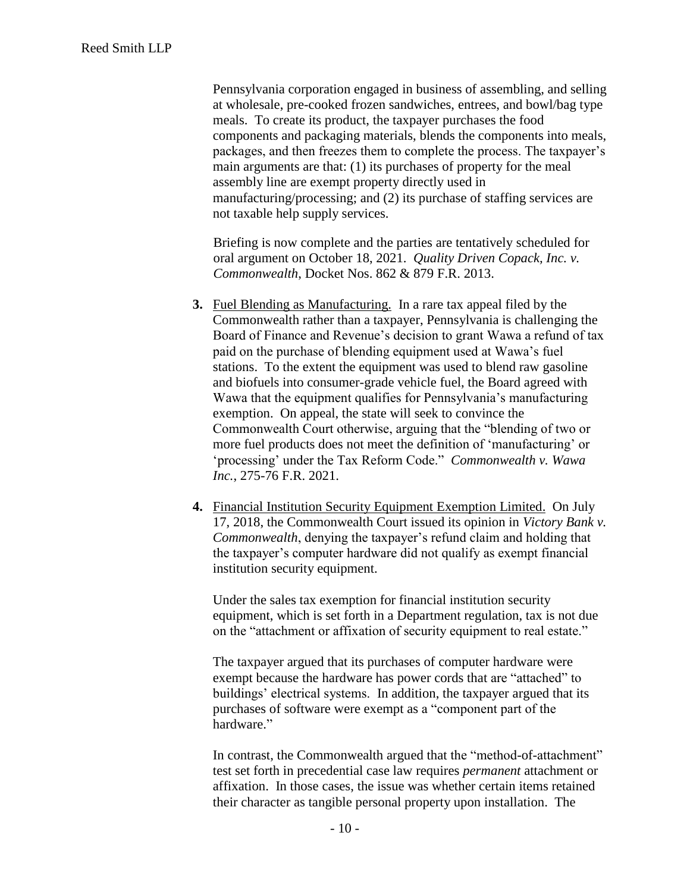Pennsylvania corporation engaged in business of assembling, and selling at wholesale, pre-cooked frozen sandwiches, entrees, and bowl/bag type meals. To create its product, the taxpayer purchases the food components and packaging materials, blends the components into meals, packages, and then freezes them to complete the process. The taxpayer's main arguments are that: (1) its purchases of property for the meal assembly line are exempt property directly used in manufacturing/processing; and (2) its purchase of staffing services are not taxable help supply services.

Briefing is now complete and the parties are tentatively scheduled for oral argument on October 18, 2021. *Quality Driven Copack, Inc. v. Commonwealth*, Docket Nos. 862 & 879 F.R. 2013.

- **3.** Fuel Blending as Manufacturing. In a rare tax appeal filed by the Commonwealth rather than a taxpayer, Pennsylvania is challenging the Board of Finance and Revenue's decision to grant Wawa a refund of tax paid on the purchase of blending equipment used at Wawa's fuel stations. To the extent the equipment was used to blend raw gasoline and biofuels into consumer-grade vehicle fuel, the Board agreed with Wawa that the equipment qualifies for Pennsylvania's manufacturing exemption. On appeal, the state will seek to convince the Commonwealth Court otherwise, arguing that the "blending of two or more fuel products does not meet the definition of 'manufacturing' or 'processing' under the Tax Reform Code." *Commonwealth v. Wawa Inc.*, 275-76 F.R. 2021.
- **4.** Financial Institution Security Equipment Exemption Limited. On July 17, 2018, the Commonwealth Court issued its opinion in *Victory Bank v. Commonwealth*, denying the taxpayer's refund claim and holding that the taxpayer's computer hardware did not qualify as exempt financial institution security equipment.

Under the sales tax exemption for financial institution security equipment, which is set forth in a Department regulation, tax is not due on the "attachment or affixation of security equipment to real estate."

The taxpayer argued that its purchases of computer hardware were exempt because the hardware has power cords that are "attached" to buildings' electrical systems. In addition, the taxpayer argued that its purchases of software were exempt as a "component part of the hardware."

In contrast, the Commonwealth argued that the "method-of-attachment" test set forth in precedential case law requires *permanent* attachment or affixation. In those cases, the issue was whether certain items retained their character as tangible personal property upon installation. The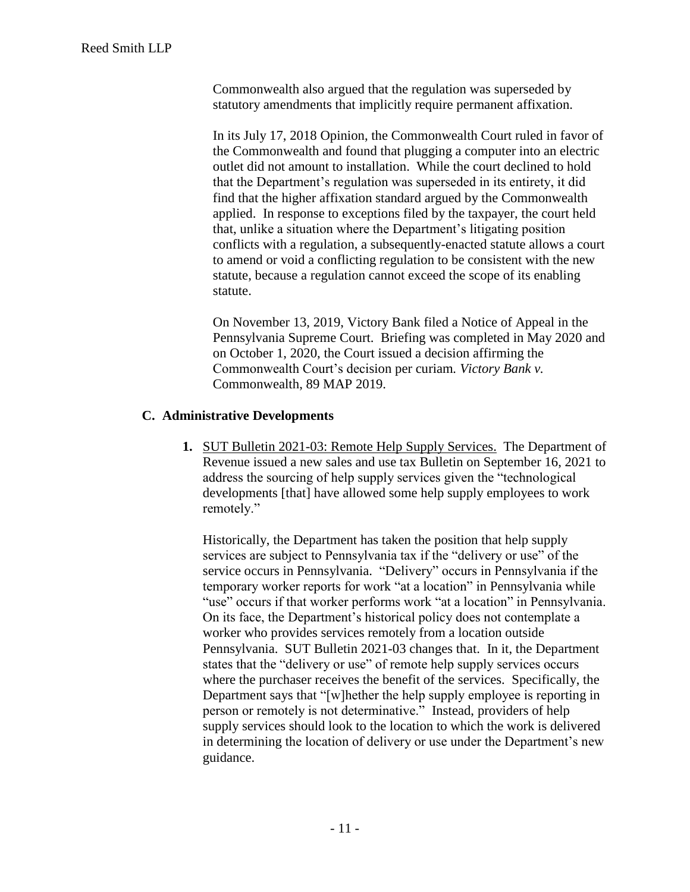Commonwealth also argued that the regulation was superseded by statutory amendments that implicitly require permanent affixation.

In its July 17, 2018 Opinion, the Commonwealth Court ruled in favor of the Commonwealth and found that plugging a computer into an electric outlet did not amount to installation. While the court declined to hold that the Department's regulation was superseded in its entirety, it did find that the higher affixation standard argued by the Commonwealth applied. In response to exceptions filed by the taxpayer, the court held that, unlike a situation where the Department's litigating position conflicts with a regulation, a subsequently-enacted statute allows a court to amend or void a conflicting regulation to be consistent with the new statute, because a regulation cannot exceed the scope of its enabling statute.

On November 13, 2019, Victory Bank filed a Notice of Appeal in the Pennsylvania Supreme Court. Briefing was completed in May 2020 and on October 1, 2020, the Court issued a decision affirming the Commonwealth Court's decision per curiam*. Victory Bank v.*  Commonwealth, 89 MAP 2019.

## **C. Administrative Developments**

**1.** SUT Bulletin 2021-03: Remote Help Supply Services. The Department of Revenue issued a new sales and use tax Bulletin on September 16, 2021 to address the sourcing of help supply services given the "technological developments [that] have allowed some help supply employees to work remotely."

Historically, the Department has taken the position that help supply services are subject to Pennsylvania tax if the "delivery or use" of the service occurs in Pennsylvania. "Delivery" occurs in Pennsylvania if the temporary worker reports for work "at a location" in Pennsylvania while "use" occurs if that worker performs work "at a location" in Pennsylvania. On its face, the Department's historical policy does not contemplate a worker who provides services remotely from a location outside Pennsylvania. SUT Bulletin 2021-03 changes that. In it, the Department states that the "delivery or use" of remote help supply services occurs where the purchaser receives the benefit of the services. Specifically, the Department says that "[w]hether the help supply employee is reporting in person or remotely is not determinative." Instead, providers of help supply services should look to the location to which the work is delivered in determining the location of delivery or use under the Department's new guidance.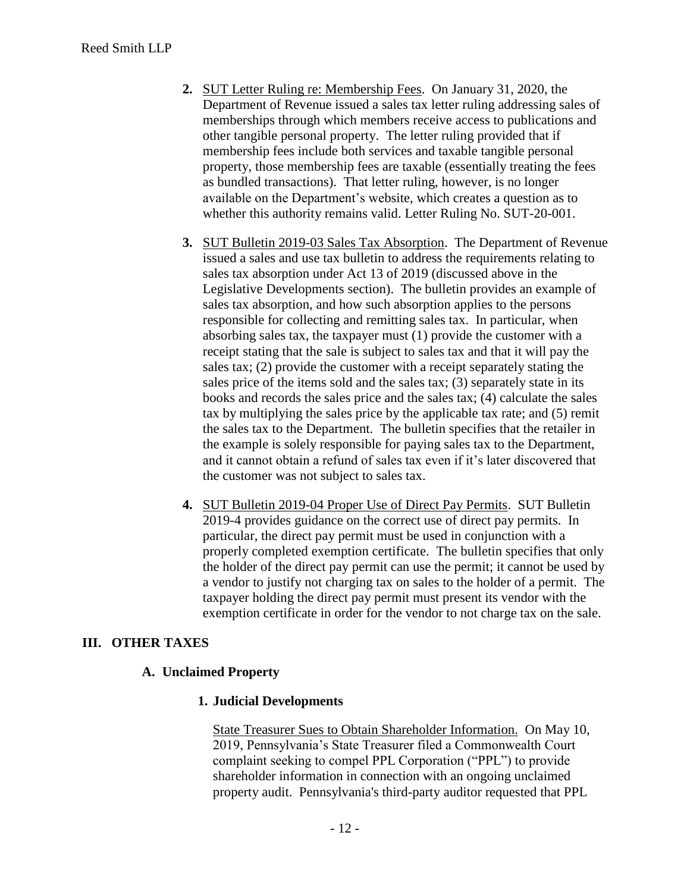- **2.** SUT Letter Ruling re: Membership Fees. On January 31, 2020, the Department of Revenue issued a sales tax letter ruling addressing sales of memberships through which members receive access to publications and other tangible personal property. The letter ruling provided that if membership fees include both services and taxable tangible personal property, those membership fees are taxable (essentially treating the fees as bundled transactions). That letter ruling, however, is no longer available on the Department's website, which creates a question as to whether this authority remains valid. Letter Ruling No. SUT-20-001.
- **3.** SUT Bulletin 2019-03 Sales Tax Absorption. The Department of Revenue issued a sales and use tax bulletin to address the requirements relating to sales tax absorption under Act 13 of 2019 (discussed above in the Legislative Developments section). The bulletin provides an example of sales tax absorption, and how such absorption applies to the persons responsible for collecting and remitting sales tax. In particular, when absorbing sales tax, the taxpayer must (1) provide the customer with a receipt stating that the sale is subject to sales tax and that it will pay the sales tax; (2) provide the customer with a receipt separately stating the sales price of the items sold and the sales tax; (3) separately state in its books and records the sales price and the sales tax; (4) calculate the sales tax by multiplying the sales price by the applicable tax rate; and (5) remit the sales tax to the Department. The bulletin specifies that the retailer in the example is solely responsible for paying sales tax to the Department, and it cannot obtain a refund of sales tax even if it's later discovered that the customer was not subject to sales tax.
- **4.** SUT Bulletin 2019-04 Proper Use of Direct Pay Permits. SUT Bulletin 2019-4 provides guidance on the correct use of direct pay permits. In particular, the direct pay permit must be used in conjunction with a properly completed exemption certificate. The bulletin specifies that only the holder of the direct pay permit can use the permit; it cannot be used by a vendor to justify not charging tax on sales to the holder of a permit. The taxpayer holding the direct pay permit must present its vendor with the exemption certificate in order for the vendor to not charge tax on the sale.

## **III. OTHER TAXES**

## **A. Unclaimed Property**

## **1. Judicial Developments**

State Treasurer Sues to Obtain Shareholder Information. On May 10, 2019, Pennsylvania's State Treasurer filed a Commonwealth Court complaint seeking to compel PPL Corporation ("PPL") to provide shareholder information in connection with an ongoing unclaimed property audit. Pennsylvania's third-party auditor requested that PPL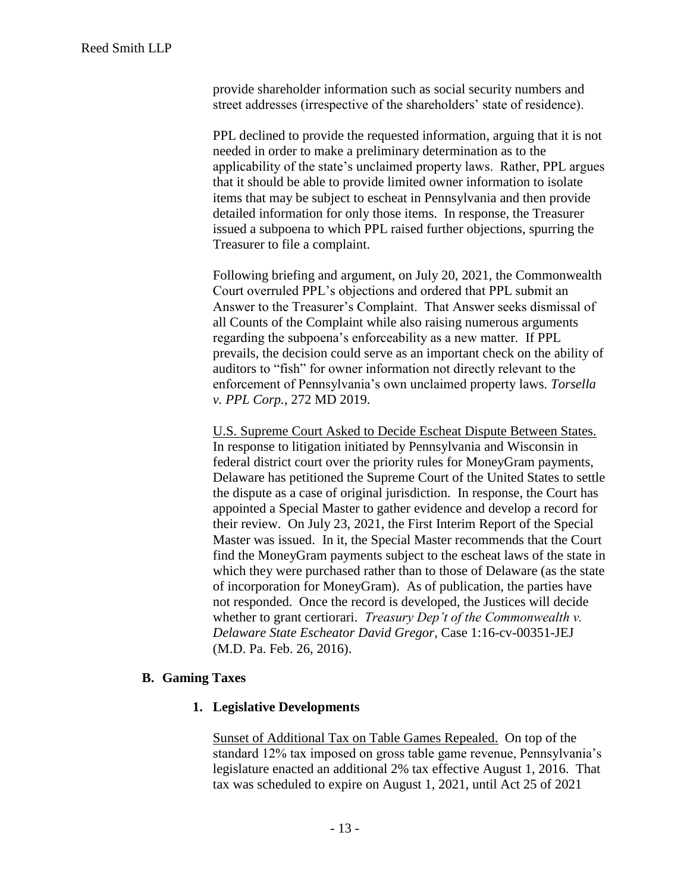provide shareholder information such as social security numbers and street addresses (irrespective of the shareholders' state of residence).

PPL declined to provide the requested information, arguing that it is not needed in order to make a preliminary determination as to the applicability of the state's unclaimed property laws. Rather, PPL argues that it should be able to provide limited owner information to isolate items that may be subject to escheat in Pennsylvania and then provide detailed information for only those items. In response, the Treasurer issued a subpoena to which PPL raised further objections, spurring the Treasurer to file a complaint.

Following briefing and argument, on July 20, 2021, the Commonwealth Court overruled PPL's objections and ordered that PPL submit an Answer to the Treasurer's Complaint. That Answer seeks dismissal of all Counts of the Complaint while also raising numerous arguments regarding the subpoena's enforceability as a new matter. If PPL prevails, the decision could serve as an important check on the ability of auditors to "fish" for owner information not directly relevant to the enforcement of Pennsylvania's own unclaimed property laws. *Torsella v. PPL Corp.*, 272 MD 2019.

U.S. Supreme Court Asked to Decide Escheat Dispute Between States. In response to litigation initiated by Pennsylvania and Wisconsin in federal district court over the priority rules for MoneyGram payments, Delaware has petitioned the Supreme Court of the United States to settle the dispute as a case of original jurisdiction. In response, the Court has appointed a Special Master to gather evidence and develop a record for their review. On July 23, 2021, the First Interim Report of the Special Master was issued. In it, the Special Master recommends that the Court find the MoneyGram payments subject to the escheat laws of the state in which they were purchased rather than to those of Delaware (as the state of incorporation for MoneyGram). As of publication, the parties have not responded. Once the record is developed, the Justices will decide whether to grant certiorari. *Treasury Dep't of the Commonwealth v. Delaware State Escheator David Gregor*, Case 1:16-cv-00351-JEJ (M.D. Pa. Feb. 26, 2016).

#### **B. Gaming Taxes**

#### **1. Legislative Developments**

Sunset of Additional Tax on Table Games Repealed. On top of the standard 12% tax imposed on gross table game revenue, Pennsylvania's legislature enacted an additional 2% tax effective August 1, 2016. That tax was scheduled to expire on August 1, 2021, until Act 25 of 2021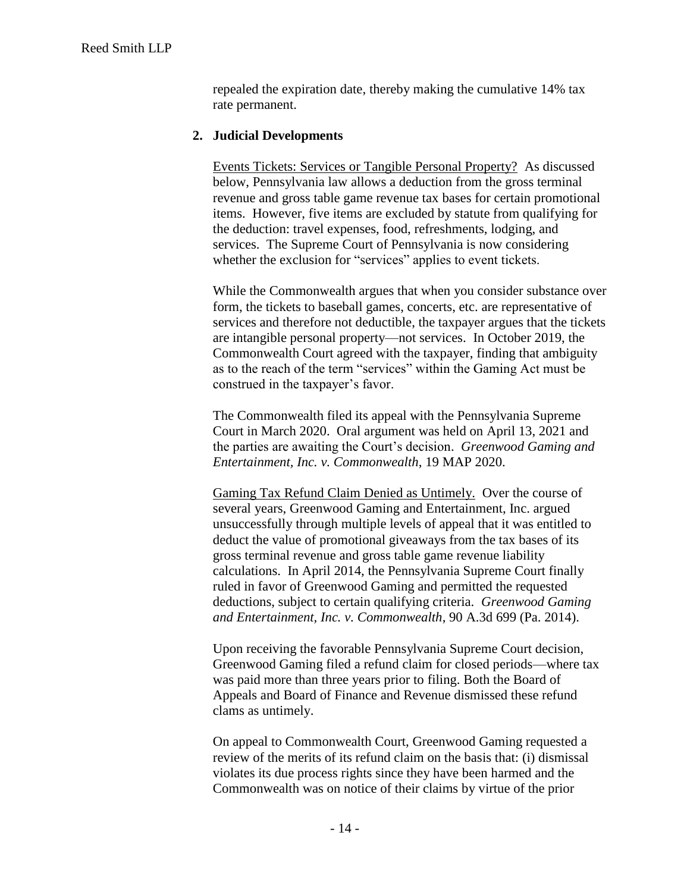repealed the expiration date, thereby making the cumulative 14% tax rate permanent.

## **2. Judicial Developments**

Events Tickets: Services or Tangible Personal Property? As discussed below, Pennsylvania law allows a deduction from the gross terminal revenue and gross table game revenue tax bases for certain promotional items. However, five items are excluded by statute from qualifying for the deduction: travel expenses, food, refreshments, lodging, and services. The Supreme Court of Pennsylvania is now considering whether the exclusion for "services" applies to event tickets.

While the Commonwealth argues that when you consider substance over form, the tickets to baseball games, concerts, etc. are representative of services and therefore not deductible, the taxpayer argues that the tickets are intangible personal property—not services. In October 2019, the Commonwealth Court agreed with the taxpayer, finding that ambiguity as to the reach of the term "services" within the Gaming Act must be construed in the taxpayer's favor.

The Commonwealth filed its appeal with the Pennsylvania Supreme Court in March 2020. Oral argument was held on April 13, 2021 and the parties are awaiting the Court's decision. *Greenwood Gaming and Entertainment, Inc. v. Commonwealth*, 19 MAP 2020.

Gaming Tax Refund Claim Denied as Untimely. Over the course of several years, Greenwood Gaming and Entertainment, Inc. argued unsuccessfully through multiple levels of appeal that it was entitled to deduct the value of promotional giveaways from the tax bases of its gross terminal revenue and gross table game revenue liability calculations. In April 2014, the Pennsylvania Supreme Court finally ruled in favor of Greenwood Gaming and permitted the requested deductions, subject to certain qualifying criteria. *Greenwood Gaming and Entertainment, Inc. v. Commonwealth*, 90 A.3d 699 (Pa. 2014).

Upon receiving the favorable Pennsylvania Supreme Court decision, Greenwood Gaming filed a refund claim for closed periods—where tax was paid more than three years prior to filing. Both the Board of Appeals and Board of Finance and Revenue dismissed these refund clams as untimely.

On appeal to Commonwealth Court, Greenwood Gaming requested a review of the merits of its refund claim on the basis that: (i) dismissal violates its due process rights since they have been harmed and the Commonwealth was on notice of their claims by virtue of the prior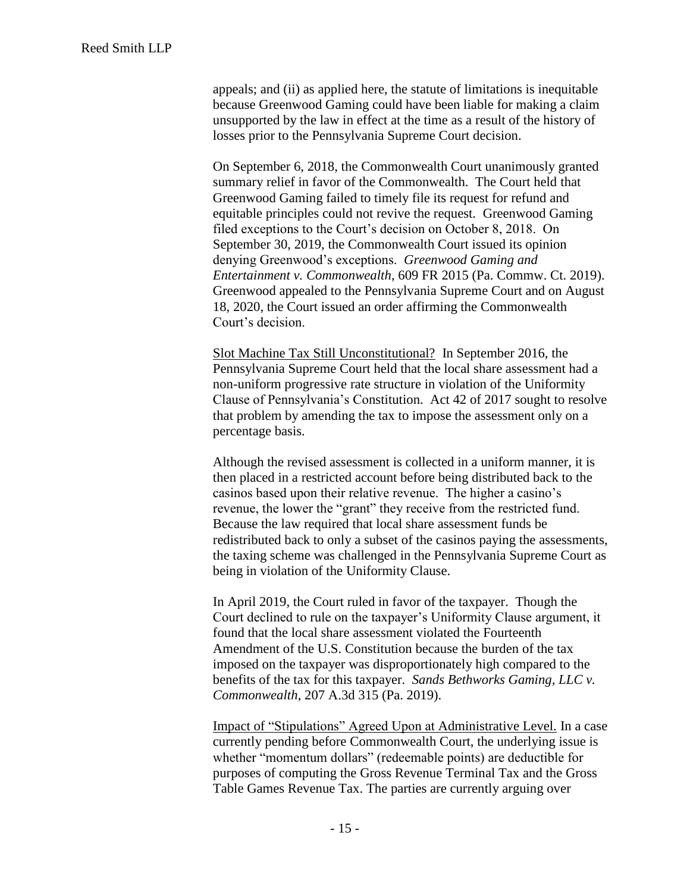appeals; and (ii) as applied here, the statute of limitations is inequitable because Greenwood Gaming could have been liable for making a claim unsupported by the law in effect at the time as a result of the history of losses prior to the Pennsylvania Supreme Court decision.

On September 6, 2018, the Commonwealth Court unanimously granted summary relief in favor of the Commonwealth. The Court held that Greenwood Gaming failed to timely file its request for refund and equitable principles could not revive the request. Greenwood Gaming filed exceptions to the Court's decision on October 8, 2018. On September 30, 2019, the Commonwealth Court issued its opinion denying Greenwood's exceptions. *Greenwood Gaming and Entertainment v. Commonwealth*, 609 FR 2015 (Pa. Commw. Ct. 2019). Greenwood appealed to the Pennsylvania Supreme Court and on August 18, 2020, the Court issued an order affirming the Commonwealth Court's decision.

Slot Machine Tax Still Unconstitutional? In September 2016, the Pennsylvania Supreme Court held that the local share assessment had a non-uniform progressive rate structure in violation of the Uniformity Clause of Pennsylvania's Constitution. Act 42 of 2017 sought to resolve that problem by amending the tax to impose the assessment only on a percentage basis.

Although the revised assessment is collected in a uniform manner, it is then placed in a restricted account before being distributed back to the casinos based upon their relative revenue. The higher a casino's revenue, the lower the "grant" they receive from the restricted fund. Because the law required that local share assessment funds be redistributed back to only a subset of the casinos paying the assessments, the taxing scheme was challenged in the Pennsylvania Supreme Court as being in violation of the Uniformity Clause.

In April 2019, the Court ruled in favor of the taxpayer. Though the Court declined to rule on the taxpayer's Uniformity Clause argument, it found that the local share assessment violated the Fourteenth Amendment of the U.S. Constitution because the burden of the tax imposed on the taxpayer was disproportionately high compared to the benefits of the tax for this taxpayer. *Sands Bethworks Gaming, LLC v. Commonwealth*, 207 A.3d 315 (Pa. 2019).

Impact of "Stipulations" Agreed Upon at Administrative Level. In a case currently pending before Commonwealth Court, the underlying issue is whether "momentum dollars" (redeemable points) are deductible for purposes of computing the Gross Revenue Terminal Tax and the Gross Table Games Revenue Tax. The parties are currently arguing over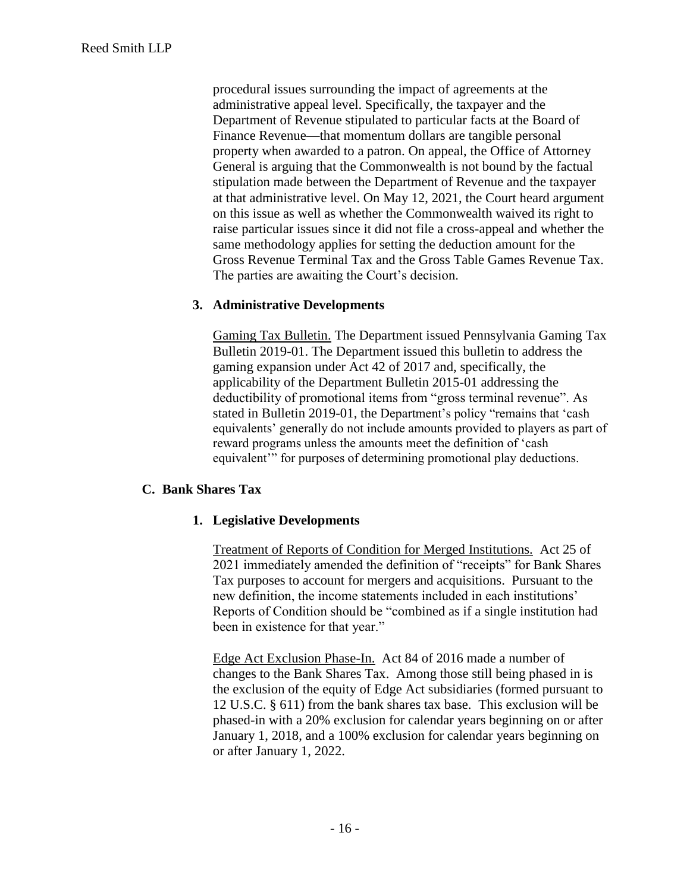procedural issues surrounding the impact of agreements at the administrative appeal level. Specifically, the taxpayer and the Department of Revenue stipulated to particular facts at the Board of Finance Revenue—that momentum dollars are tangible personal property when awarded to a patron. On appeal, the Office of Attorney General is arguing that the Commonwealth is not bound by the factual stipulation made between the Department of Revenue and the taxpayer at that administrative level. On May 12, 2021, the Court heard argument on this issue as well as whether the Commonwealth waived its right to raise particular issues since it did not file a cross-appeal and whether the same methodology applies for setting the deduction amount for the Gross Revenue Terminal Tax and the Gross Table Games Revenue Tax. The parties are awaiting the Court's decision.

## **3. Administrative Developments**

Gaming Tax Bulletin. The Department issued Pennsylvania Gaming Tax Bulletin 2019-01. The Department issued this bulletin to address the gaming expansion under Act 42 of 2017 and, specifically, the applicability of the Department Bulletin 2015-01 addressing the deductibility of promotional items from "gross terminal revenue". As stated in Bulletin 2019-01, the Department's policy "remains that 'cash equivalents' generally do not include amounts provided to players as part of reward programs unless the amounts meet the definition of 'cash equivalent'" for purposes of determining promotional play deductions.

## **C. Bank Shares Tax**

## **1. Legislative Developments**

Treatment of Reports of Condition for Merged Institutions. Act 25 of 2021 immediately amended the definition of "receipts" for Bank Shares Tax purposes to account for mergers and acquisitions. Pursuant to the new definition, the income statements included in each institutions' Reports of Condition should be "combined as if a single institution had been in existence for that year."

Edge Act Exclusion Phase-In. Act 84 of 2016 made a number of changes to the Bank Shares Tax. Among those still being phased in is the exclusion of the equity of Edge Act subsidiaries (formed pursuant to 12 U.S.C. § 611) from the bank shares tax base. This exclusion will be phased-in with a 20% exclusion for calendar years beginning on or after January 1, 2018, and a 100% exclusion for calendar years beginning on or after January 1, 2022.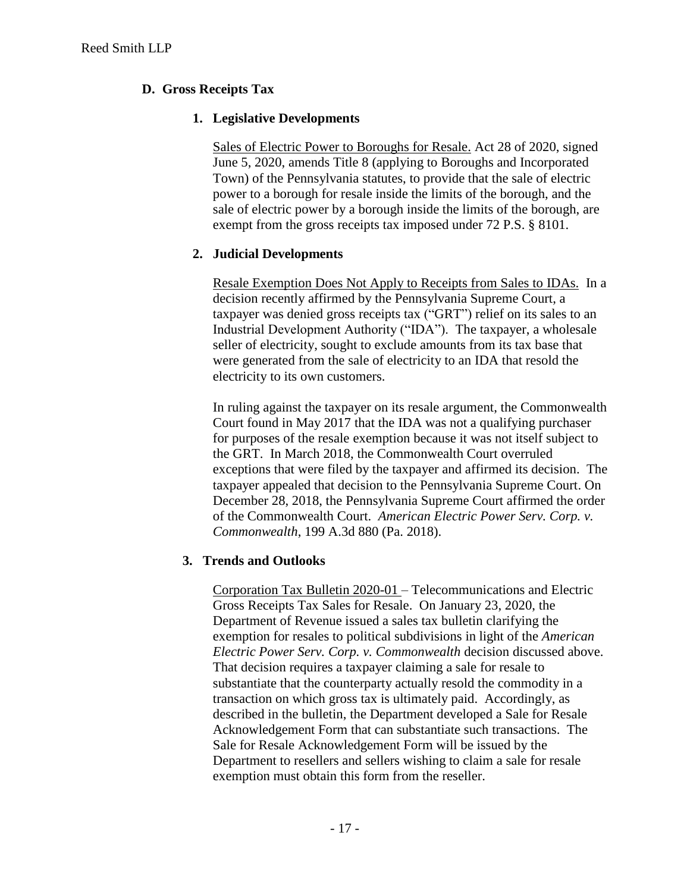## **D. Gross Receipts Tax**

## **1. Legislative Developments**

Sales of Electric Power to Boroughs for Resale. Act 28 of 2020, signed June 5, 2020, amends Title 8 (applying to Boroughs and Incorporated Town) of the Pennsylvania statutes, to provide that the sale of electric power to a borough for resale inside the limits of the borough, and the sale of electric power by a borough inside the limits of the borough, are exempt from the gross receipts tax imposed under 72 P.S. § 8101.

# **2. Judicial Developments**

Resale Exemption Does Not Apply to Receipts from Sales to IDAs. In a decision recently affirmed by the Pennsylvania Supreme Court, a taxpayer was denied gross receipts tax ("GRT") relief on its sales to an Industrial Development Authority ("IDA"). The taxpayer, a wholesale seller of electricity, sought to exclude amounts from its tax base that were generated from the sale of electricity to an IDA that resold the electricity to its own customers.

In ruling against the taxpayer on its resale argument, the Commonwealth Court found in May 2017 that the IDA was not a qualifying purchaser for purposes of the resale exemption because it was not itself subject to the GRT. In March 2018, the Commonwealth Court overruled exceptions that were filed by the taxpayer and affirmed its decision. The taxpayer appealed that decision to the Pennsylvania Supreme Court. On December 28, 2018, the Pennsylvania Supreme Court affirmed the order of the Commonwealth Court. *American Electric Power Serv. Corp. v. Commonwealth*, 199 A.3d 880 (Pa. 2018).

## **3. Trends and Outlooks**

Corporation Tax Bulletin 2020-01 – Telecommunications and Electric Gross Receipts Tax Sales for Resale. On January 23, 2020, the Department of Revenue issued a sales tax bulletin clarifying the exemption for resales to political subdivisions in light of the *American Electric Power Serv. Corp. v. Commonwealth* decision discussed above. That decision requires a taxpayer claiming a sale for resale to substantiate that the counterparty actually resold the commodity in a transaction on which gross tax is ultimately paid. Accordingly, as described in the bulletin, the Department developed a Sale for Resale Acknowledgement Form that can substantiate such transactions. The Sale for Resale Acknowledgement Form will be issued by the Department to resellers and sellers wishing to claim a sale for resale exemption must obtain this form from the reseller.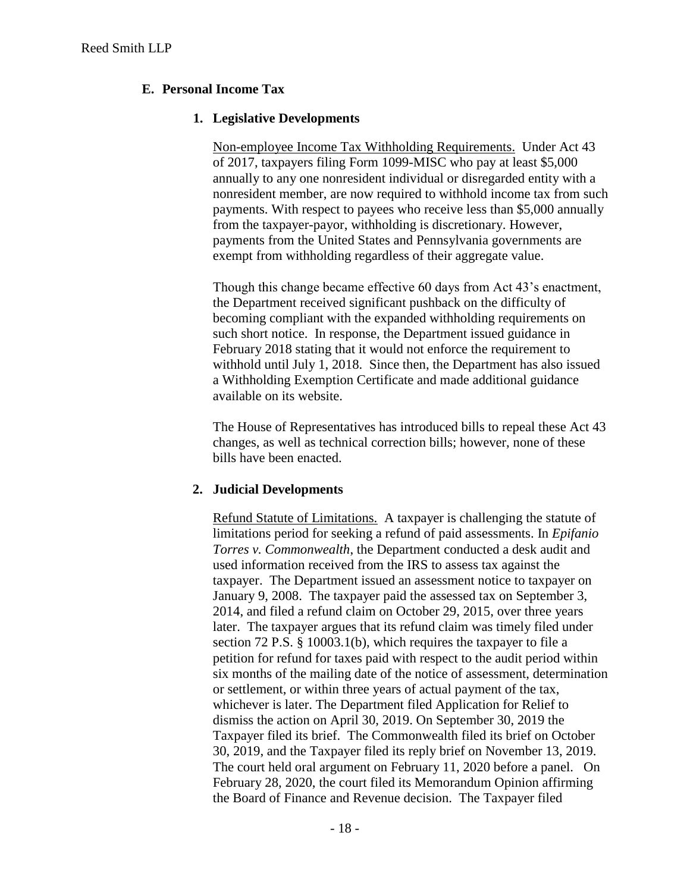## **E. Personal Income Tax**

## **1. Legislative Developments**

Non-employee Income Tax Withholding Requirements. Under Act 43 of 2017, taxpayers filing Form 1099-MISC who pay at least \$5,000 annually to any one nonresident individual or disregarded entity with a nonresident member, are now required to withhold income tax from such payments. With respect to payees who receive less than \$5,000 annually from the taxpayer-payor, withholding is discretionary. However, payments from the United States and Pennsylvania governments are exempt from withholding regardless of their aggregate value.

Though this change became effective 60 days from Act 43's enactment, the Department received significant pushback on the difficulty of becoming compliant with the expanded withholding requirements on such short notice. In response, the Department issued guidance in February 2018 stating that it would not enforce the requirement to withhold until July 1, 2018. Since then, the Department has also issued a Withholding Exemption Certificate and made additional guidance available on its website.

The House of Representatives has introduced bills to repeal these Act 43 changes, as well as technical correction bills; however, none of these bills have been enacted.

## **2. Judicial Developments**

Refund Statute of Limitations. A taxpayer is challenging the statute of limitations period for seeking a refund of paid assessments. In *Epifanio Torres v. Commonwealth*, the Department conducted a desk audit and used information received from the IRS to assess tax against the taxpayer. The Department issued an assessment notice to taxpayer on January 9, 2008. The taxpayer paid the assessed tax on September 3, 2014, and filed a refund claim on October 29, 2015, over three years later. The taxpayer argues that its refund claim was timely filed under section 72 P.S. § 10003.1(b), which requires the taxpayer to file a petition for refund for taxes paid with respect to the audit period within six months of the mailing date of the notice of assessment, determination or settlement, or within three years of actual payment of the tax, whichever is later. The Department filed Application for Relief to dismiss the action on April 30, 2019. On September 30, 2019 the Taxpayer filed its brief. The Commonwealth filed its brief on October 30, 2019, and the Taxpayer filed its reply brief on November 13, 2019. The court held oral argument on February 11, 2020 before a panel. On February 28, 2020, the court filed its Memorandum Opinion affirming the Board of Finance and Revenue decision. The Taxpayer filed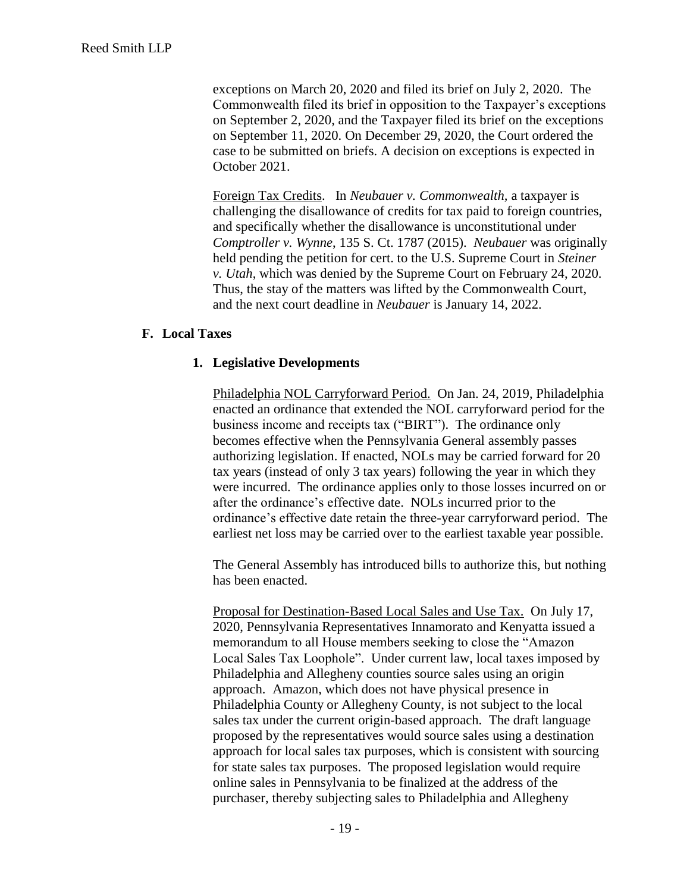exceptions on March 20, 2020 and filed its brief on July 2, 2020. The Commonwealth filed its brief in opposition to the Taxpayer's exceptions on September 2, 2020, and the Taxpayer filed its brief on the exceptions on September 11, 2020. On December 29, 2020, the Court ordered the case to be submitted on briefs. A decision on exceptions is expected in October 2021.

Foreign Tax Credits. In *Neubauer v. Commonwealth,* a taxpayer is challenging the disallowance of credits for tax paid to foreign countries, and specifically whether the disallowance is unconstitutional under *Comptroller v. Wynne*, 135 S. Ct. 1787 (2015). *Neubauer* was originally held pending the petition for cert. to the U.S. Supreme Court in *Steiner v. Utah*, which was denied by the Supreme Court on February 24, 2020. Thus, the stay of the matters was lifted by the Commonwealth Court, and the next court deadline in *Neubauer* is January 14, 2022.

#### **F. Local Taxes**

#### **1. Legislative Developments**

Philadelphia NOL Carryforward Period. On Jan. 24, 2019, Philadelphia enacted an ordinance that extended the NOL carryforward period for the business income and receipts tax ("BIRT"). The ordinance only becomes effective when the Pennsylvania General assembly passes authorizing legislation. If enacted, NOLs may be carried forward for 20 tax years (instead of only 3 tax years) following the year in which they were incurred. The ordinance applies only to those losses incurred on or after the ordinance's effective date. NOLs incurred prior to the ordinance's effective date retain the three-year carryforward period. The earliest net loss may be carried over to the earliest taxable year possible.

The General Assembly has introduced bills to authorize this, but nothing has been enacted.

Proposal for Destination-Based Local Sales and Use Tax. On July 17, 2020, Pennsylvania Representatives Innamorato and Kenyatta issued a memorandum to all House members seeking to close the "Amazon Local Sales Tax Loophole". Under current law, local taxes imposed by Philadelphia and Allegheny counties source sales using an origin approach. Amazon, which does not have physical presence in Philadelphia County or Allegheny County, is not subject to the local sales tax under the current origin-based approach. The draft language proposed by the representatives would source sales using a destination approach for local sales tax purposes, which is consistent with sourcing for state sales tax purposes. The proposed legislation would require online sales in Pennsylvania to be finalized at the address of the purchaser, thereby subjecting sales to Philadelphia and Allegheny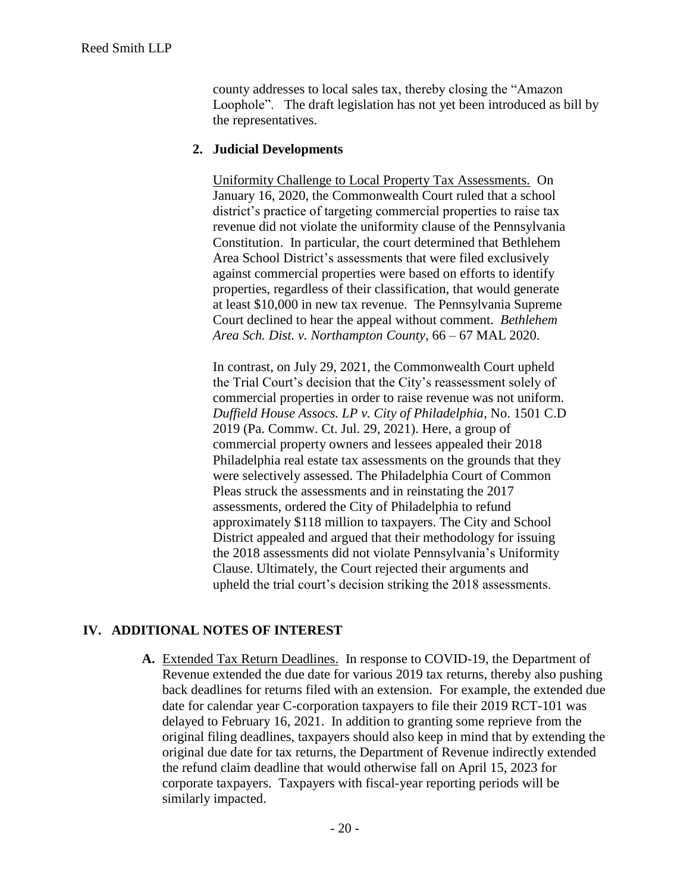county addresses to local sales tax, thereby closing the "Amazon Loophole". The draft legislation has not yet been introduced as bill by the representatives.

#### **2. Judicial Developments**

Uniformity Challenge to Local Property Tax Assessments. On January 16, 2020, the Commonwealth Court ruled that a school district's practice of targeting commercial properties to raise tax revenue did not violate the uniformity clause of the Pennsylvania Constitution. In particular, the court determined that Bethlehem Area School District's assessments that were filed exclusively against commercial properties were based on efforts to identify properties, regardless of their classification, that would generate at least \$10,000 in new tax revenue. The Pennsylvania Supreme Court declined to hear the appeal without comment. *Bethlehem Area Sch. Dist. v. Northampton County*, 66 – 67 MAL 2020.

In contrast, on July 29, 2021, the Commonwealth Court upheld the Trial Court's decision that the City's reassessment solely of commercial properties in order to raise revenue was not uniform. *Duffield House Assocs. LP v. City of Philadelphia*, No. 1501 C.D 2019 (Pa. Commw. Ct. Jul. 29, 2021). Here, a group of commercial property owners and lessees appealed their 2018 Philadelphia real estate tax assessments on the grounds that they were selectively assessed. The Philadelphia Court of Common Pleas struck the assessments and in reinstating the 2017 assessments, ordered the City of Philadelphia to refund approximately \$118 million to taxpayers. The City and School District appealed and argued that their methodology for issuing the 2018 assessments did not violate Pennsylvania's Uniformity Clause. Ultimately, the Court rejected their arguments and upheld the trial court's decision striking the 2018 assessments.

## **IV. ADDITIONAL NOTES OF INTEREST**

**A.** Extended Tax Return Deadlines. In response to COVID-19, the Department of Revenue extended the due date for various 2019 tax returns, thereby also pushing back deadlines for returns filed with an extension. For example, the extended due date for calendar year C-corporation taxpayers to file their 2019 RCT-101 was delayed to February 16, 2021. In addition to granting some reprieve from the original filing deadlines, taxpayers should also keep in mind that by extending the original due date for tax returns, the Department of Revenue indirectly extended the refund claim deadline that would otherwise fall on April 15, 2023 for corporate taxpayers. Taxpayers with fiscal-year reporting periods will be similarly impacted.